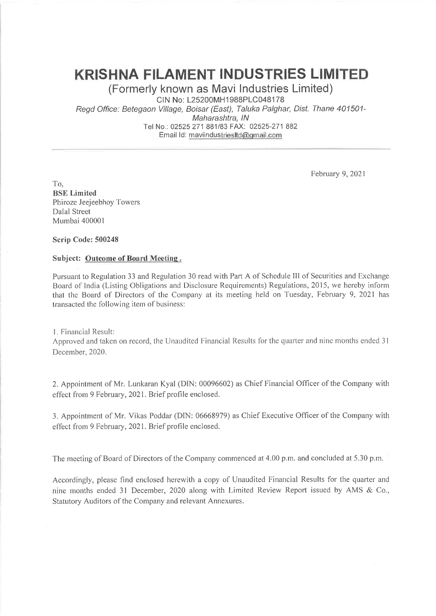# **KRISHNA FILAMENT INDUSTRIES LIMITED**

**(Formerly known as Mavi Industries Limited)** CIN No: L25200MH1988PLC048178 *Regd Office: Betegaon Village, Boisar (East), Taluka Palghar, Dist. Thane 401501- Maharashtra, IN* Tel No.: 02525271 *881/83* FAX: 02525-271 882 Email Id:maviindustriesltd@gmail.com

February 9, 2021

To, BSE Limited Phiroze Jeejeebhoy Towers Dalal Street Mumbai 400001

Scrip Code: 500248

#### Subject: Outcome of Board Meeting.

Pursuant to Regulation 33 and Regulation 30 read with Part A of Schedule III of Securities and Exchange Board of India (Listing Obligations and Disclosure Requirements) Regulations, 2015, we hereby inform that the Board of Directors of the Company at its meeting held on Tuesday, February 9, 2021 has transacted the following item of business:

I. Financial Result:

Approved and taken on record, the Unaudited Financial Results for the quarter and nine months ended 31 December, 2020.

2. Appointment of Mr. Lunkaran Kyal (DIN: 00096602) as Chief Financial Officer of the Company with effect from 9 February, 2021. Brief profile enclosed.

3. Appointment of Mr. Vikas Poddar (DIN: 06668979) as Chief Executive Officer of the Company with effect from 9 February, 2021. Brief profile enclosed.

The meeting of Board of Directors of the Company commenced at 4.00 p.m. and concluded at 5.30 p.m.

Accordingly, please find enclosed herewith a copy of Unaudited Financial Results for the quarter and nine months ended 31 December, 2020 along with Limited Review Report issued by AMS & Co., Statutory Auditors of the Company and relevant Annexures.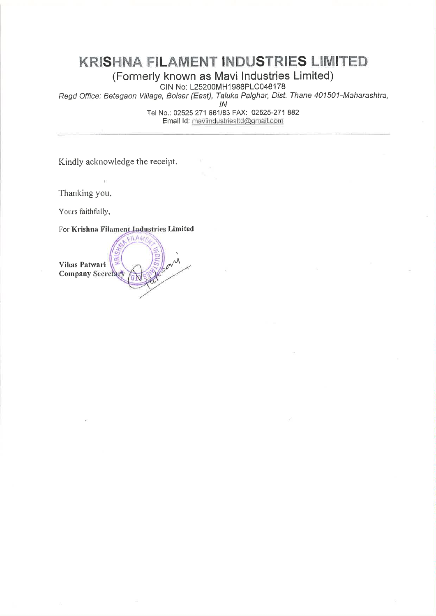# **KRISHNA FILAMENT INDUSTRIES LIMITED**

**(Formerly known as Mavi Industries Limited)**

CIN No: L25200MH1988PLC048178

*Regd Office: Betegaon Village, Boisar (East), Teluke Palghar, Oist. Thane 401501-Maharashtra, IN*

> Tel No.: 02525271 *881/83* FAX: 02525-271 882 Email Id: maviindustriesltd@gmail.com

Kindly acknowledge the receipt.

Thanking you,

Yours faithfully,

For Krishna Filament Industries Limited

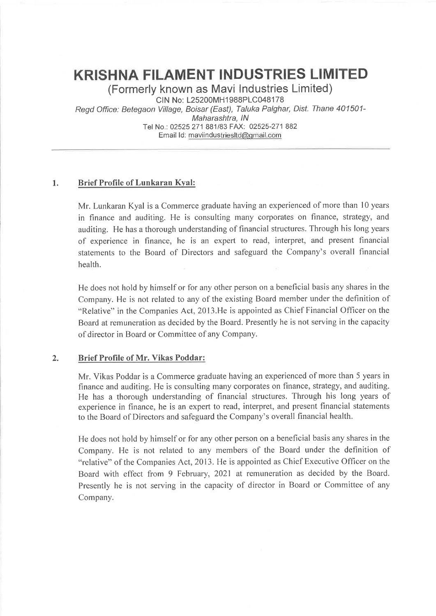# **KRISHNA FILAMENT INDUSTRIES LIMITED**

(Formerly known as Mavi Industries Limited) CIN No: L25200MH1988PLC048178 *Regd Office: Betegaon Village, Boisar (East), Taluka Palghar, Dist. Thane 401501- Maharashtra, IN* Tel No.: 02525271 881/83 FAX: 02525-271 882 Email Id: maviindustriesltd@gmail.com

## 1. Brief Profile of Lunkaran Kyal:

Mr. Lunkaran Kyal is a Commerce graduate having an experienced of more than 10 years in finance and auditing. He is consulting many corporates on finance, strategy, and auditing. He has a thorough understanding of financial structures. Through his long years of experience in finance, he is an expert to read, interpret, and present financial statements to the Board of Directors and safeguard the Company's overall financial health.

He does not hold by himself or for any other person on a beneficial basis any shares in the Company. He is not related to any of the existing Board member under the definition of "Relative" in the Companies Act, 2013.He is appointed as Chief Financial Officer on the Board at remuneration as decided by the Board. Presently he is not serving in the capacity of director in Board or Committee of any Company.

## 2. Brief Profile of Mr. Vikas Poddar:

Mr. Vikas Poddar is a Commerce graduate having an experienced of more than 5 years in finance and auditing. He is consulting many corporates on finance, strategy, and auditing. He has a thorough understanding of financial structures. Through his long years of experience in finance, he is an expert to read, interpret, and present financial statements to the Board of Directors and safeguard the Company's overall financial health.

He does not hold by himself or for any other person on a beneficial basis any shares in the Company. He is not related to any members of the Board under the definition of "relative" of the Companies Act, 2013. He is appointed as Chief Executive Officer on the Board with effect from 9 February, 2021 at remuneration as decided by the Board. Presently he is not serving in the capacity of director in Board or Committee of any Company.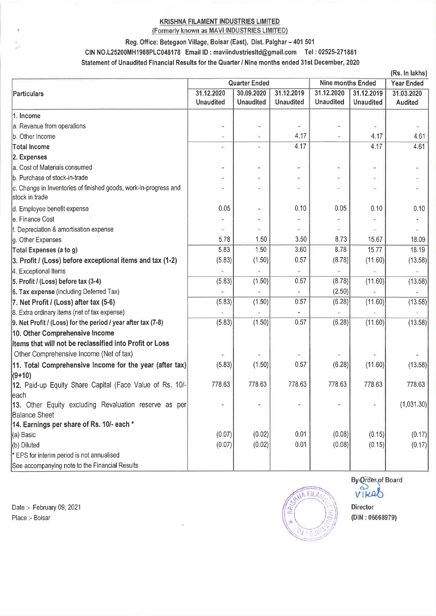## KRISHNA FILAMENT INDUSTRIES LIMITED (Formerly known as MAVIINDUSTRIES LIMITED)

# Reg. Office: Betegaon Village, Boisar (East), Dist. Palghar - 401 501 CIN NO.L25200MH1988PLC048178 EmaillD: maviindustriesltd@gmail.com Tel: 02525-271881 Statement of Unaudited Financial Results for the Quarter *I* Nine months ended 31st December, 2020

|                                                                  |                          |                          |                          |                          | (RS. IN JAKAS)   |                   |
|------------------------------------------------------------------|--------------------------|--------------------------|--------------------------|--------------------------|------------------|-------------------|
| Particulars                                                      | <b>Quarter Ended</b>     |                          |                          | <b>Nine months Ended</b> |                  | <b>Year Ended</b> |
|                                                                  | 31.12.2020               | 30.09.2020               | 31.12.2019               | 31.12.2020               | 31.12.2019       | 31.03.2020        |
|                                                                  | <b>Unaudited</b>         | <b>Unaudited</b>         | <b>Unaudited</b>         | <b>Unaudited</b>         | <b>Unaudited</b> | Audited           |
| 1. Income                                                        |                          |                          |                          |                          |                  |                   |
| a. Revenue from operations                                       |                          | ۷                        |                          |                          |                  |                   |
| b. Other Income                                                  | $\overline{\phantom{a}}$ | $\blacksquare$           | 4.17                     |                          | 4.17             | 4.61              |
| <b>Total Income</b>                                              | ×                        | ۰                        | 4.17                     |                          | 4.17             | 4.61              |
| 2. Expenses                                                      |                          |                          |                          |                          |                  |                   |
| a. Cost of Materials consumed                                    | ÷                        | $\overline{\phantom{a}}$ | $\overline{\phantom{a}}$ |                          | $\sim$           |                   |
| b. Purchase of stock-in-trade                                    |                          | ٠                        | ۰                        |                          |                  |                   |
| c. Change in Inventories of finished goods, work-in-progress and | $\overline{\phantom{a}}$ |                          |                          |                          |                  |                   |
| stock in trade                                                   |                          |                          |                          |                          |                  |                   |
| d. Employee benefit expense                                      | 0.05                     | ۰                        | 0.10                     | 0.05                     | 0.10             | 0.10              |
| e. Finance Cost                                                  |                          |                          |                          |                          |                  |                   |
| f. Depreciation & amortisation expense                           |                          |                          |                          |                          |                  |                   |
| g. Other Expenses                                                | 5.78                     | 1.50                     | 3.50                     | 8.73                     | 15.67            | 18.09             |
| Total Expenses (a to g)                                          | 5.83                     | 1.50                     | 3.60                     | 8.78                     | 15.77            | 18.19             |
| 3. Profit / (Loss) before exceptional items and tax (1-2)        | (5.83)                   | (1.50)                   | 0.57                     | (8.78)                   | (11.60)          | (13.58)           |
| 4. Exceptional Items                                             |                          |                          |                          |                          |                  |                   |
| 5. Profit / (Loss) before tax (3-4)                              | (5.83)                   | (1.50)                   | 0.57                     | (8.78)                   | (11.60)          | (13.58)           |
| 6. Tax expense (including Deferred Tax)                          |                          | ž.                       |                          | (2.50)                   |                  |                   |
| 7. Net Profit / (Loss) after tax (5-6)                           | (5.83)                   | (1.50)                   | 0.57                     | (6.28)                   | (11.60)          | (13.58)           |
| 8. Extra ordinary items (net of tax expense)                     |                          |                          |                          |                          |                  |                   |
| 9. Net Profit / (Loss) for the period / year after tax (7-8)     | (5.83)                   | (1.50)                   | 0.57                     | (6.28)                   | (11.60)          | (13.58)           |
| 10. Other Comprehensive Income                                   |                          |                          |                          |                          |                  |                   |
| Items that will not be reclassified into Profit or Loss          |                          |                          |                          |                          |                  |                   |
| Other Comprehensive Income (Net of tax)                          |                          |                          |                          |                          |                  |                   |
| [11. Total Comprehensive Income for the year (after tax)]        | (5.83)                   | (1.50)                   | 0.57                     | (6.28)                   | (11.60)          | (13.58)           |
| $(9+10)$                                                         |                          |                          |                          |                          |                  |                   |
| 12. Paid-up Equity Share Capital (Face Value of Rs. 10/-         | 778.63                   | 778.63                   | 778.63                   | 778.63                   | 778.63           | 778.63            |
| each                                                             |                          |                          |                          |                          |                  |                   |
| 13. Other Equity excluding Revaluation reserve as per            |                          |                          |                          |                          |                  | (1,031.30)        |
| <b>Balance Sheet</b>                                             |                          |                          |                          |                          |                  |                   |
| 14. Earnings per share of Rs. 10/- each *                        |                          |                          |                          |                          |                  |                   |
| (a) Basic                                                        | (0.07)                   | (0.02)                   | 0.01                     | (0.08)                   | (0.15)           | (0.17)            |
| (b) Diluted                                                      | (0.07)                   | (0.02)                   | 0.01                     | (0.08)                   | (0.15)           | (0.17)            |
| * EPS for interim period is not annualised                       |                          |                          |                          |                          |                  |                   |
| See accompanying note to the Financial Results                   |                          |                          |                          |                          |                  |                   |

Date:- February 09, 2021 Place :- Boisar



By Order of Board vikab

(Rs. In lakhs)

Director (DIN: 06668979)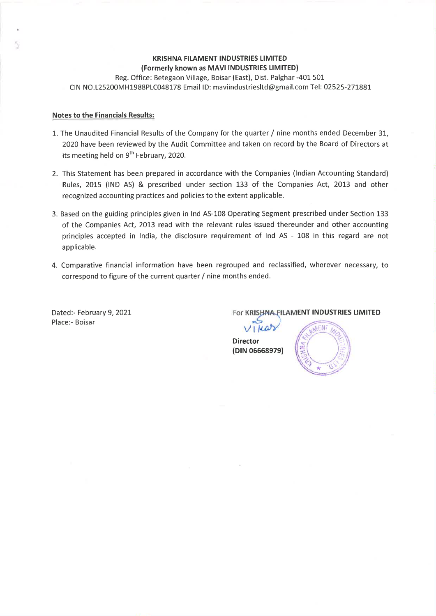# KRISHNA FILAMENT INDUSTRIESLIMITED (Formerly known as MAVIINDUSTRIES LIMITED)

Reg. Office: Betegaon Village, Boisar (East), Dist. Palghar -401501 CIN NO.L25200MH1988PLC048178 EmaillD: maviindustriesltd@gmail.com Tel: 02525-271881

### Notes to the Financials Results:

- 1. The Unaudited Financial Results of the Company for the quarter / nine months ended December 31, 2020 have been reviewed by the Audit Committee and taken on record by the Board of Directors at its meeting held on 9<sup>th</sup> February, 2020.
- 2. This Statement has been prepared in accordance with the Companies (Indian Accounting Standard) Rules, 2015 (IND AS) & prescribed under section 133 of the Companies Act, 2013 and other recognized accounting practices and policies to the extent applicable.
- 3. Based on the guiding principles given in Ind AS-I08 Operating Segment prescribed under Section 133 of the Companies Act, 2013 read with the relevant rules issued thereunder and other accounting principles accepted in India, the disclosure requirement of Ind AS - 108 in this regard are not applicable.
- 4. Comparative financial information have been regrouped and reclassified, wherever necessary, to correspond to figure of the current quarter / nine months ended.

Dated:- February 9, 2021 Place:- Boisar

For KRISHNA FILAMENT INDUSTRIES LIMITED

Director (DIN 06668979)

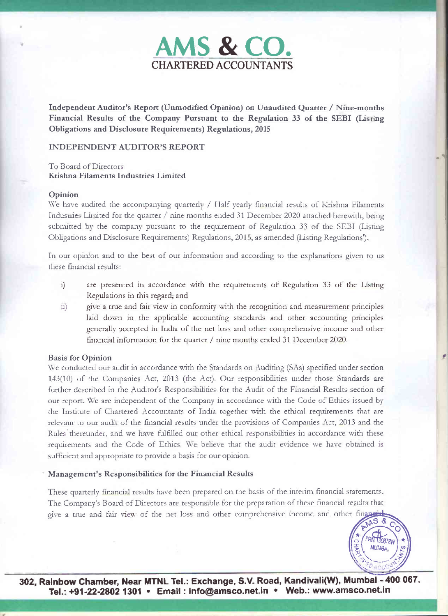

Independent Auditor's Report (Unmodified Opinion) on Unaudited Quarter / Nine-months Financial Results of the Company Pursuant to the Regulation 33 of the SEBI (Listing Obligations and Disclosure Requirements) Regulations, 2015

## INDEPENDENT AUDITOR'S REPORT

To Board of Directors Krishna Filaments Industries Limited

### Opinion

We have audited the accompanying quarterly / Half yearly financial results of Krishna Filaments Industries Limited for the quarter *I* nine months ended 31 December 2020 attached herewith, being submitted by the company pursuant to the requirement of Regulation 33 of the SEBI (Listing Obligations and Disclosure Requirements) Regulations, 2015, as amended (Listing Regulations').

In our opinion and to the best of our information and according to the explanations given to us these financial results:

- i) are presented in accordance with the requirements of Regulation 33 of the Listing Regulations in this regard; and
- ii) give a true and fair view in conformity with the recognition and measurement principles laid down in the applicable accounting standards and other accounting principles generally accepted in India of the net loss and other comprehensive income and other financial information for the quarter / nine months ended 31 December 2020.

## Basis for Opinion

We conducted our audit in accordance with the Standards on Auditing (SAs) specified under section 143(10) of the Companies Act, 2013 (the Act). Our responsibilities under those Standards are further described in the Auditor's Responsibilities for the Audit of the Financial Results section of our report. \X'e are independent of the Company in accordance with the Code of Ethics issued by the Institute of Chartered Accountants of India together with the ethical requirements that are relevant to our audit of the financial results under the provisions of Companies Act, 2013 and the Rules thereunder, and we have fulfilled our other ethical responsibilities in accordance with these requirements and the Code of Ethics. We believe that the audit evidence we have obtained is sufficient and appropriate to provide a basis for our opinion.

## Management's Responsibilities for the Financial Results

These quarterly financial results have been prepared on the basis of the interim financial statements. The Company's Board of Directors are responsible for the preparation of these financial results that give a true and fair view of the net loss and other comprehensive income and other financies



•

**302. Rainbow Chamber, Near MTNL Tel.: Exchange. S.V. Road, Kandivali(W), Mumbai** -~400**067. Tel.: +91·22·2802 1301 • Email: info@amsco.netin • Web.: www.amsc:o.net.1n**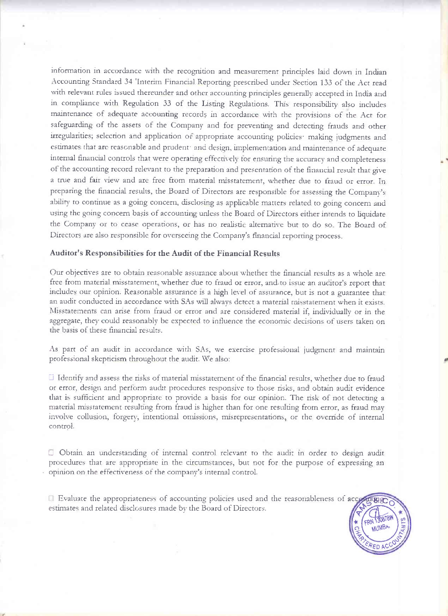information in accordance with the recognition and measurement principles laid down in Indian Accounting Standard 34 'Interim Financial Reporting prescribed under Section 133 of the Act read with relevant rules issued thereunder and other accounting principles generally accepted in India and in compliance with Regulation 33 of the Listing Regulations. This responsibility also includes maintenance of adequate accounting records in accordance with the provisions of the Act for safeguarding of the assets of the Company and for preventing and detecting frauds and other irregularities; selection and application of appropriate accounting policies' making judgments and estimates that are reasonable and prudent and design, implementation and maintenance of adequate internal financial controls that were operating effectively for ensuring the accuracy and completeness of the accounting record relevant to the preparation and presentation of the financial result that give a true and fair view and are free from material misstatement, whether due to fraud or error. In preparing the financial results, the Board of Directors are responsible for assessing the Company's ability to continue as a going concern, disclosing as applicable matters related to going concern and using the going concern basis of accounting unless the Board of Directors either intends to liquidate the Company or to cease operations, or has no realistic alternative but to do so. The Board of DIrectors are also responsible for overseeing the Company's financial reporting process.

## **Auditor's Responsibilities for the Audit of the Financial Results**

Our objectives are to obtain reasonable assurance about whether the financial results as a whole are free from material misstatement, whether due to fraud or error, and.to issue an auditor's report that includes our opinion. Reasonable assurance is a high level of assurance, but is not a guarantee that an audit conducted in accordance with SAs will always detect a material misstatement when it exists. Misstatements can arise from fraud or error and are considered material if, individually or in the aggregate, they could reasonably be expected to influence the economic decisions of users taken on the basis of these financial results.

As part of an audit in accordance with SAs, we exercise professional judgment and maintain professional skepticism throughout the audit. We also:

 $\Box$  Identify and assess the risks of material misstatement of the financial results, whether due to fraud or error, design and perform audit procedures responsive to those risks, and obtain audit evidence that is sufficient and appropriate to provide a basis for our opinion. The risk of not detecung a material misstatement resulting from fraud is higher than for one resulting from error, as fraud may involve collusion, forgery, intentional omissions, misrepresentations, or the override of internal control.

o Obtain an understanding of internal control relevant to the audit in order to design audit procedures that are appropriate in the circumstances, but not for the purpose of expressing an opinion on the effectiveness of the company's internal controL

F-Evaluate the appropriateness of accounting policies used and the reasonableness of according estimates and related disclosures made by the Board of Directors.